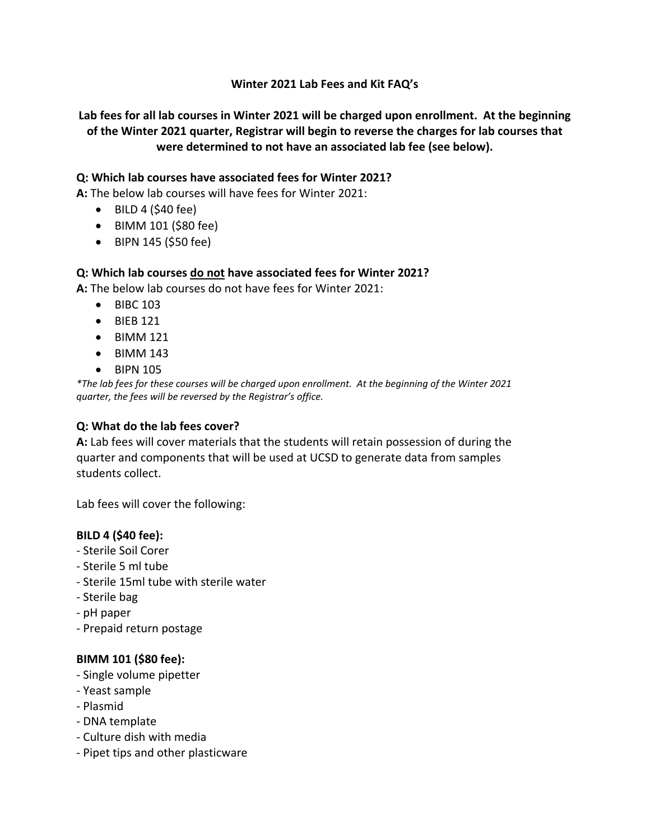## **Winter 2021 Lab Fees and Kit FAQ's**

**Lab fees for all lab courses in Winter 2021 will be charged upon enrollment. At the beginning of the Winter 2021 quarter, Registrar will begin to reverse the charges for lab courses that were determined to not have an associated lab fee (see below).**

### **Q: Which lab courses have associated fees for Winter 2021?**

**A:** The below lab courses will have fees for Winter 2021:

- $\bullet$  BILD 4 (\$40 fee)
- BIMM 101 (\$80 fee)
- BIPN 145 (\$50 fee)

### **Q: Which lab courses do not have associated fees for Winter 2021?**

**A:** The below lab courses do not have fees for Winter 2021:

- BIBC 103
- BIEB 121
- BIMM 121
- $\bullet$  BIMM 143
- BIPN 105

*\*The lab fees for these courses will be charged upon enrollment. At the beginning of the Winter 2021 quarter, the fees will be reversed by the Registrar's office.* 

### **Q: What do the lab fees cover?**

**A:** Lab fees will cover materials that the students will retain possession of during the quarter and components that will be used at UCSD to generate data from samples students collect.

Lab fees will cover the following:

### **BILD 4 (\$40 fee):**

- Sterile Soil Corer
- Sterile 5 ml tube
- Sterile 15ml tube with sterile water
- Sterile bag
- pH paper
- Prepaid return postage

### **BIMM 101 (\$80 fee):**

- Single volume pipetter
- Yeast sample
- Plasmid
- DNA template
- Culture dish with media
- Pipet tips and other plasticware